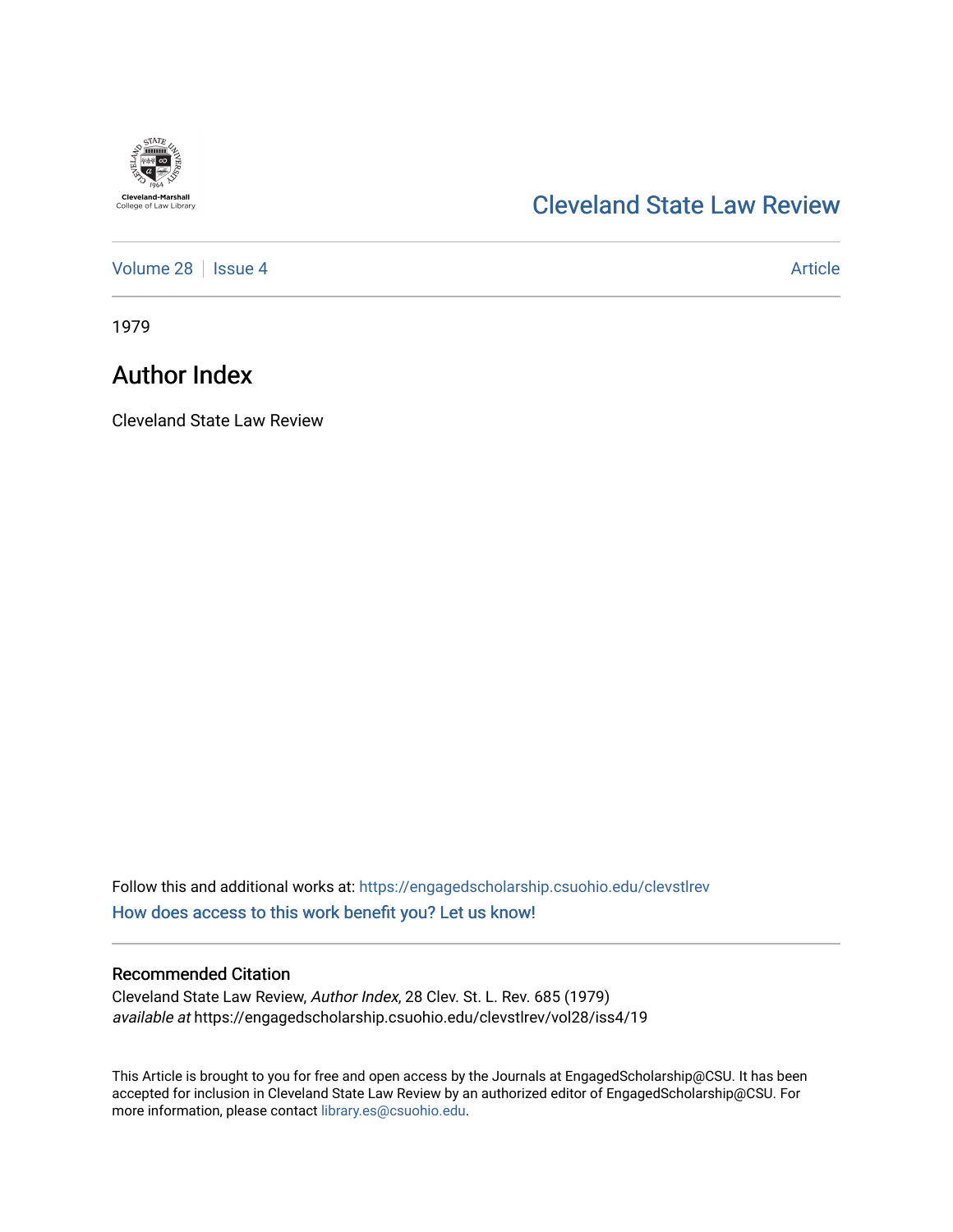

## [Cleveland State Law Review](https://engagedscholarship.csuohio.edu/clevstlrev)

[Volume 28](https://engagedscholarship.csuohio.edu/clevstlrev/vol28) | [Issue 4](https://engagedscholarship.csuohio.edu/clevstlrev/vol28/iss4) Article

1979

## Author Index

Cleveland State Law Review

Follow this and additional works at: [https://engagedscholarship.csuohio.edu/clevstlrev](https://engagedscholarship.csuohio.edu/clevstlrev?utm_source=engagedscholarship.csuohio.edu%2Fclevstlrev%2Fvol28%2Fiss4%2F19&utm_medium=PDF&utm_campaign=PDFCoverPages) [How does access to this work benefit you? Let us know!](http://library.csuohio.edu/engaged/)

## Recommended Citation

Cleveland State Law Review, Author Index, 28 Clev. St. L. Rev. 685 (1979) available at https://engagedscholarship.csuohio.edu/clevstlrev/vol28/iss4/19

This Article is brought to you for free and open access by the Journals at EngagedScholarship@CSU. It has been accepted for inclusion in Cleveland State Law Review by an authorized editor of EngagedScholarship@CSU. For more information, please contact [library.es@csuohio.edu](mailto:library.es@csuohio.edu).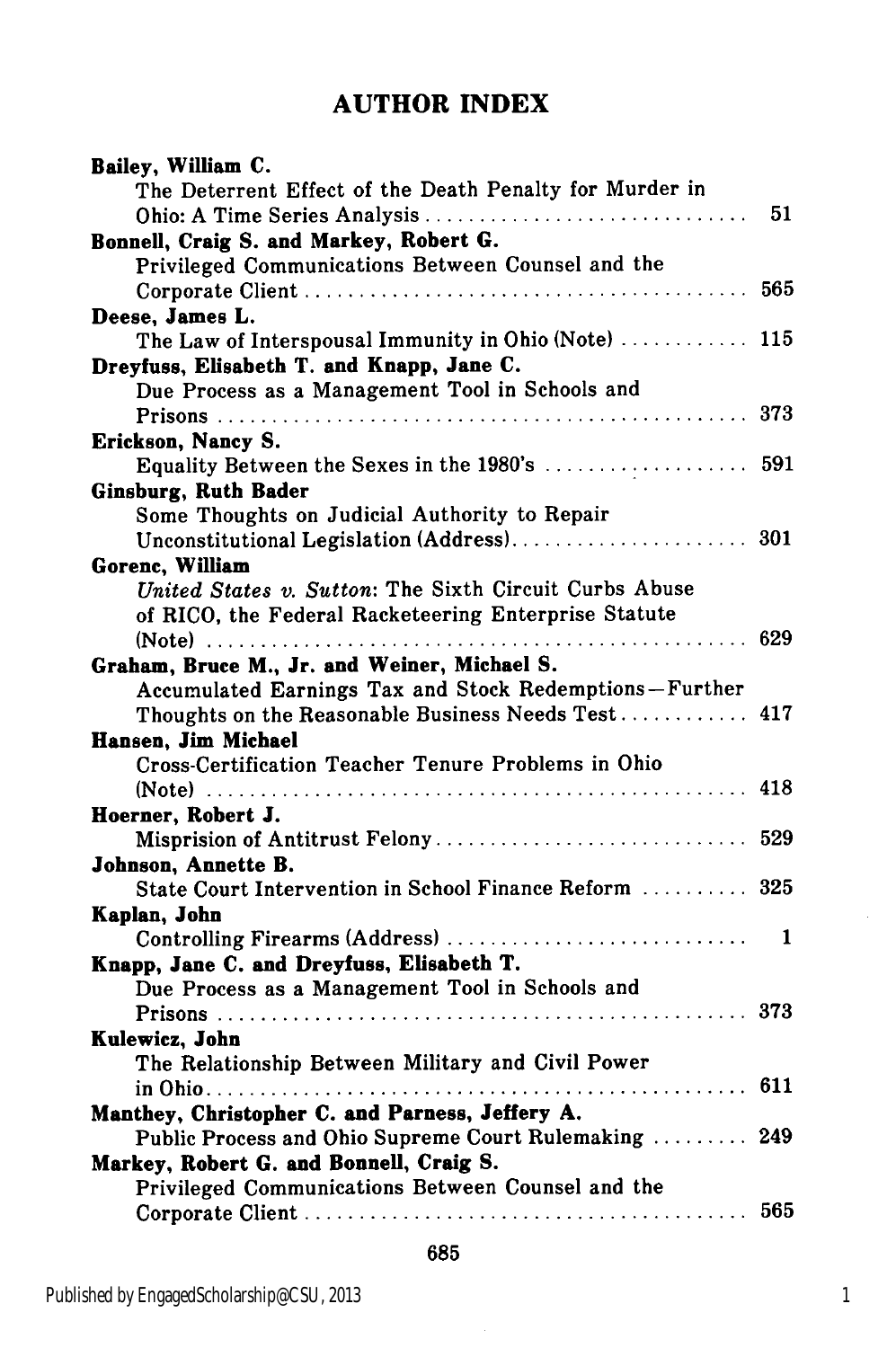## **AUTHOR INDEX**

| Bailey, William C.                                      |     |
|---------------------------------------------------------|-----|
| The Deterrent Effect of the Death Penalty for Murder in |     |
| Ohio: A Time Series Analysis                            | 51  |
| Bonnell, Craig S. and Markey, Robert G.                 |     |
| Privileged Communications Between Counsel and the       |     |
|                                                         | 565 |
| Deese, James L.                                         |     |
| The Law of Interspousal Immunity in Ohio (Note)  115    |     |
| Dreyfuss, Elisabeth T. and Knapp, Jane C.               |     |
| Due Process as a Management Tool in Schools and         |     |
|                                                         | 373 |
| Erickson, Nancy S.                                      |     |
| Equality Between the Sexes in the 1980's  591           |     |
| Ginsburg, Ruth Bader                                    |     |
| Some Thoughts on Judicial Authority to Repair           |     |
|                                                         |     |
| Gorenc, William                                         |     |
| United States v. Sutton: The Sixth Circuit Curbs Abuse  |     |
| of RICO, the Federal Racketeering Enterprise Statute    |     |
|                                                         | 629 |
| Graham, Bruce M., Jr. and Weiner, Michael S.            |     |
| Accumulated Earnings Tax and Stock Redemptions-Further  |     |
| Thoughts on the Reasonable Business Needs Test          | 417 |
| Hansen, Jim Michael                                     |     |
| Cross-Certification Teacher Tenure Problems in Ohio     |     |
|                                                         | 418 |
| Hoerner, Robert J.                                      |     |
| Misprision of Antitrust Felony                          | 529 |
| Johnson, Annette B.                                     |     |
| State Court Intervention in School Finance Reform  325  |     |
| Kaplan, John                                            |     |
| Controlling Firearms (Address)                          | 1   |
| Knapp, Jane C. and Dreyfuss, Elisabeth T.               |     |
| Due Process as a Management Tool in Schools and         |     |
|                                                         | 373 |
| Kulewicz, John                                          |     |
| The Relationship Between Military and Civil Power       |     |
| .                                                       | 611 |
| Manthey, Christopher C. and Parness, Jeffery A.         |     |
| Public Process and Ohio Supreme Court Rulemaking  249   |     |
| Markey, Robert G. and Bonnell, Craig S.                 |     |
| Privileged Communications Between Counsel and the       |     |
|                                                         | 565 |

685